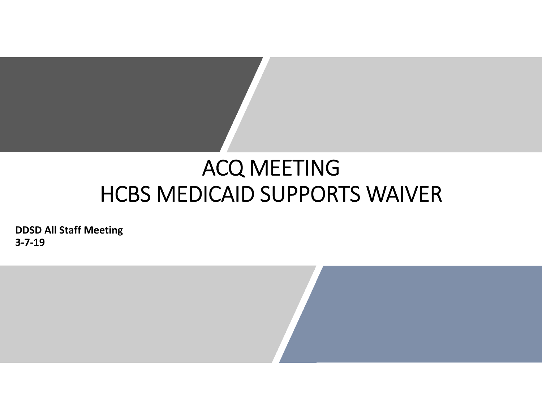### ACQ MEETING HCBS MEDICAID SUPPORTS WAIVER

**DDSD All Staff Meeting 3-7-19**

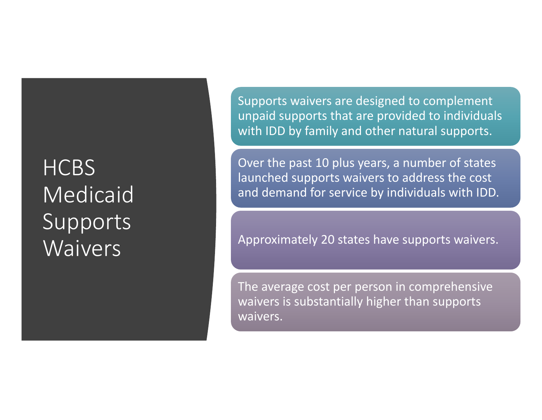### HCBS<sup>1</sup> Medicaid Supports **Waivers**

Supports waivers are designed to complement unpaid supports that are provided to individuals with IDD by family and other natural supports.

Over the past 10 plus years, a number of states launched supports waivers to address the cost and demand for service by individuals with IDD.

Approximately 20 states have supports waivers.

The average cost per person in comprehensive waivers is substantially higher than supports waivers.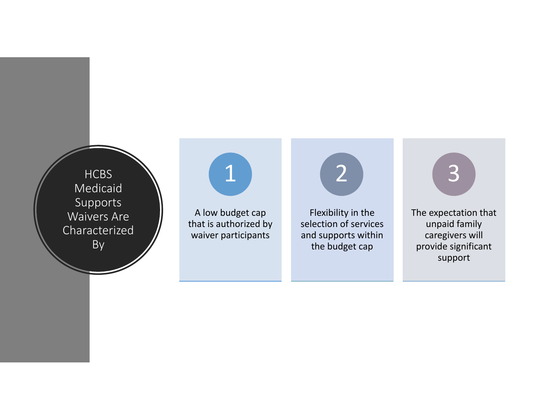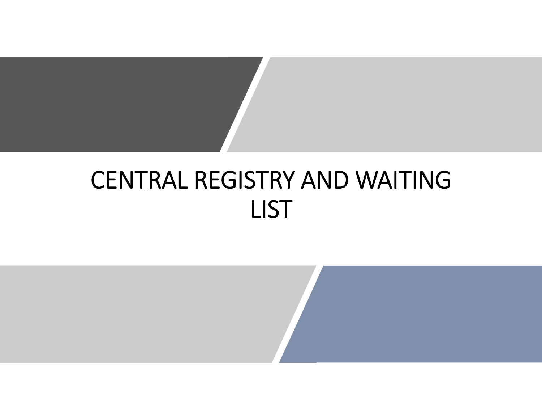## CENTRAL REGISTRY AND WAITING LIST

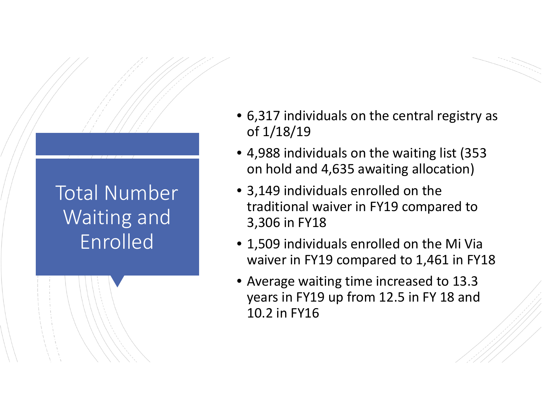### Total Number Waiting and Enrolled

- 6,317 individuals on the central registry as of 1/18/19
- 4,988 individuals on the waiting list (353 on hold and 4,635 awaiting allocation)
- 3,149 individuals enrolled on the traditional waiver in FY19 compared to 3,306 in FY18
- 1,509 individuals enrolled on the Mi Via waiver in FY19 compared to 1,461 in FY18
- Average waiting time increased to 13.3 years in FY19 up from 12.5 in FY 18 and 10.2 in FY16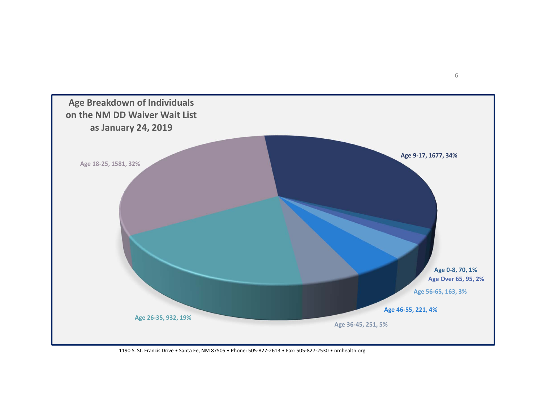

1190 S. St. Francis Drive • Santa Fe, NM 87505 • Phone: 505-827-2613 • Fax: 505-827-2530 • nmhealth.org

6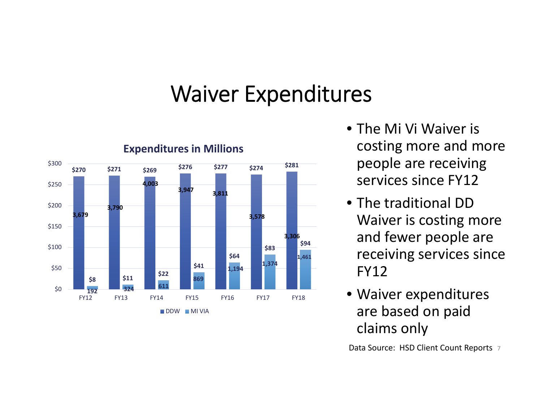### Waiver Expenditures



- The Mi Vi Waiver is costing more and more people are receiving services since FY12
- The traditional DD Waiver is costing more and fewer people are receiving services since FY12
- Waiver expenditures are based on paid claims only

Data Source: HSD Client Count Reports 7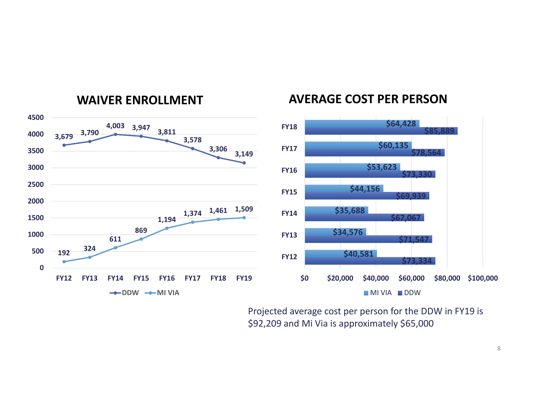

#### **WAIVER ENROLLMENT**

#### **AVERAGE COST PER PERSON**



Projected average cost per person for the DDW in FY19 is \$92,209 and Mi Via is approximately \$65,000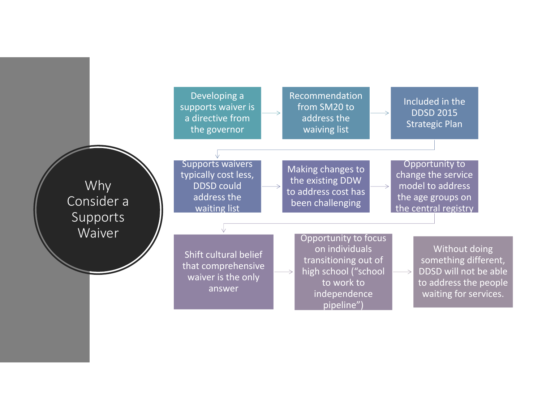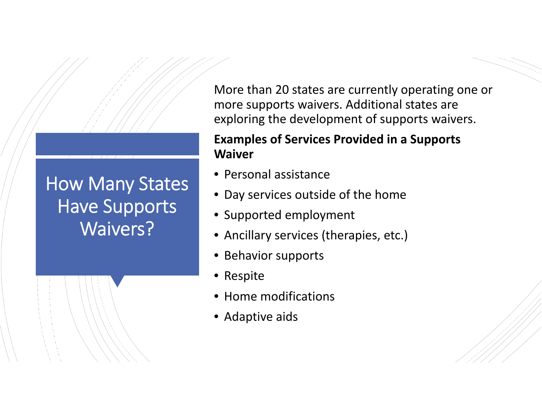How Many States Have Supports Waivers?

More than 20 states are currently operating one or more supports waivers. Additional states are exploring the development of supports waivers.

#### **Examples of Services Provided in a Supports Waiver**

- Personal assistance
- Day services outside of the home
- Supported employment
- Ancillary services (therapies, etc.)
- Behavior supports
- •Respite
- Home modifications
- Adaptive aids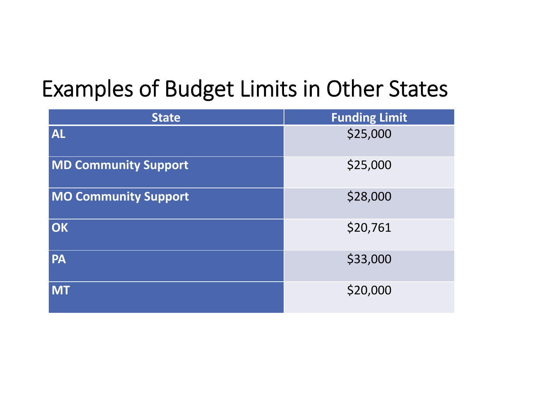### Examples of Budget Limits in Other States

| <b>State</b>                | <b>Funding Limit</b> |
|-----------------------------|----------------------|
| <b>AL</b>                   | \$25,000             |
| <b>MD Community Support</b> | \$25,000             |
| <b>MO Community Support</b> | \$28,000             |
| OK                          | \$20,761             |
| <b>PA</b>                   | \$33,000             |
| <b>MT</b>                   | \$20,000             |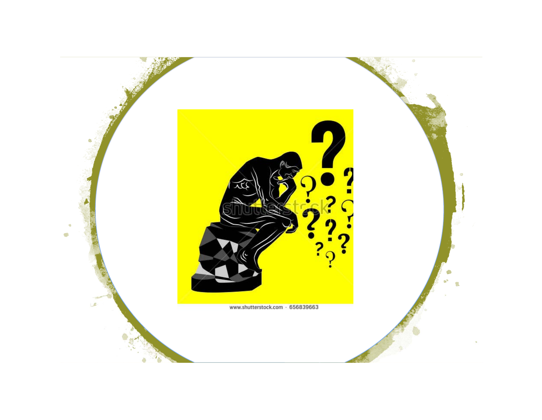